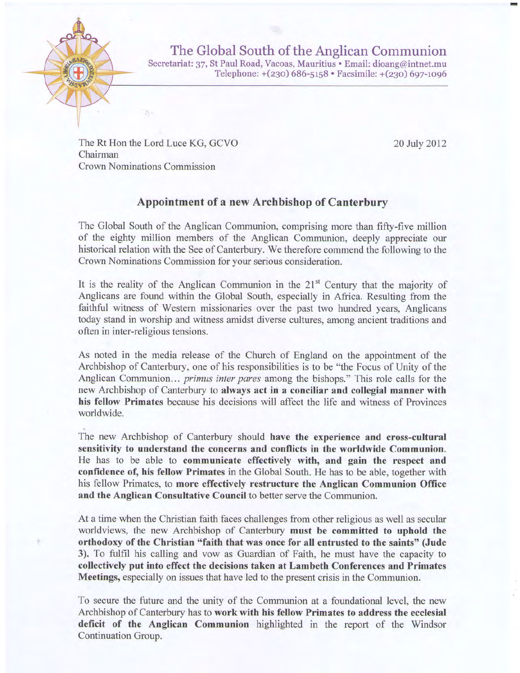

The Global South of the Anglican Communion Secretariat: 37, St Paul Road, Vacoas, Mauritius . Email: dioang@intnet.mu Telephone: +(230) 686-5158 · Facsimile: +(230) 697-1096

The Rt Hon the Lord Luce KG, GCVO Chairman Crown Nominations Commission

 $^{21-}$ 

20 July 2012

## Appointment of a new Archbishop of Canterbury

The Global South of the Anglican Communion, comprising more than fifty-five million of the eighty million members of the Anglican Communion, deeply appreciate our historical relation with the See of Canterbury. We therefore commend the following to the Crown Nominations Commission for your serious consideration.

It is the reality of the Anglican Communion in the  $21<sup>st</sup>$  Century that the majority of Anglicans are found within the Global South, especially in Africa. Resulting from the faithful witness of Western missionaries over the past two hundred years, Anglicans today stand in worship and witness amidst diverse cultures, among ancient traditions and often in inter-religious tensions.

As noted in the media release of the Church of England on the appointment of the Archbishop of Canterbury, one of his responsibilities is to be "the Focus of Unity of the Anglican Communion... *primus inter pares* among the bishops." This role calls for the new Archbishop of Canterbury to always act in a conciliar and collegial nanner with his fellow Primates because his decisions will affect the life and witness of Provinces worldwide.

The new Archbishop of Canterbury should have the experience and cross-cultural sensitivity to understand the concerns and conflicts in the worldwide Communion. He has to be able to communicate effectively with, and gain the respect and confidence of, his fellow Primates in the Global South. He has to be able, together with his fellow Primates, to more effectively restructure the Anglican Communion Office and the Anglican Consultative Council to better serve the Communion.

At a time when the Christian faith faces challenges from other religious as well as secular worldviews, the new Archbishop of Canterbury must be committed to uphold the orthodoxy of the Christian "faith that was once for all entrusted to the saints" (Jude 3), To fulfil his calling and vow as Guardian of Faith, he must have the capacity to collectively put into effect the decisions taken at Lambeth Conferences and Primates Mgetings, especially on issues that have led to the present crisis in the Communion.

To secure the future and the unity of the Communion at a foundational level, the new Archbishop of Canterbury has to work with his fellow Primates to address the ecclesial deficit of the Anglican Communion highlighted in the report of the Windsor Continuation Group.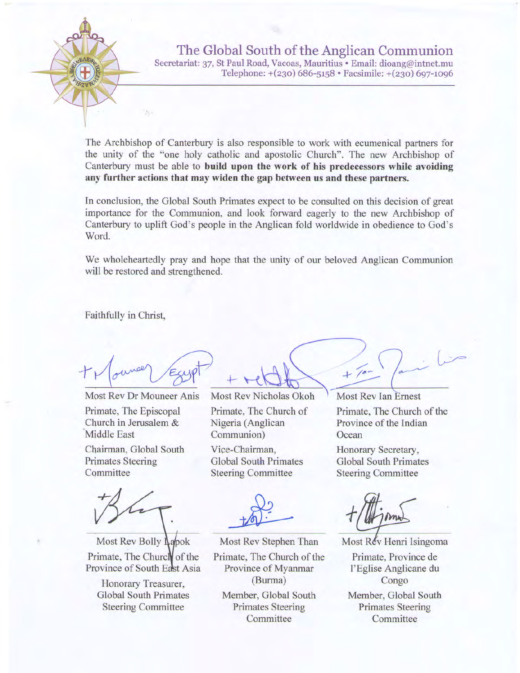

The Archbishop of Canterbury is also responsible to work with ecumenical partners for the unity of the "one holy catholic and apostolic Church". The new Archbishop of Canterbury must be able to build upon the work of his predecessors while avoiding any further actions that may widen the gap between us and these partners.

In conclusion, the Global South Primates expect to be consulted on this decision of great importance for the Communion, and look forward eagerly to the new Archbishop of Canterbury to uplift God's people in the Anglican fold worldwide in obedience to God's Word.

We wholeheartedly pray and hope that the unity of our beloved Anglican Communion will be restored and strengthened.

Faithfully in Christ,

 $\mathbb{R}$  .

Most Rev Dr Mouneer Anis Primate, The Episcopal Church in Jerusalem & Middle East

Chairman, Global South Primates Steering Committee

Most Rev Bolly Lapok Primate, The Church of the Province of South East Asia

Honorary Treasurer, Global South Primates Steering Committee

Most Rev Nicholas Okoh Primate, The Church of Nigeria (Anglican Communion)

Vice-Chairman, Global South Primates Steering Committee

Most Rev Stephen Than Primate, The Church of the Province of Myanmar (Burma) Member, Global South

**Primates Steering Committee** 

**Most Rev Ian Ernest** Primate, The Church of the Province of the Indian **Ocean** 

Honorary Secretary, Global South Primates Steering Committee

)

 $+ 7^{\circ}$ 

Most Rev Henri Isingoma Primate, Province de I'Eglise Anglicane du Congo Member, Global South Primates Steering Committee